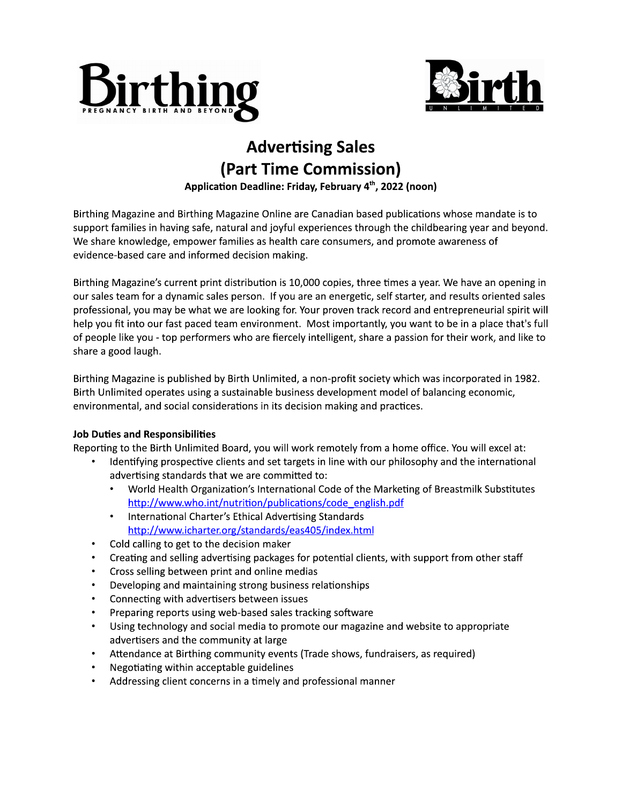



## Advertising Sales (Part Time Commission)<br>Application Deadline: Friday, February 4<sup>th</sup>, 2022 (noon)

Advertising Sales<br>
(Part Time Commission)<br>
Application Deadline: Friday, February 4<sup>th</sup>, 2022 (noon)<br>
Birthing Magazine and Birthing Magazine Online are Canadian based publications whose mandate is to<br>
support families in

professional, you may be what we are looking for. Your proven track record and entrepreneurial spirit will help you fit into our fast paced team environment. Most importantly, you want to be in a place that's full of people like you - top performers who are fiercely intelligent, share a passion for their work, and like to share a good laugh.

Birthing Magazine is published by Birth Unlimited, a non-profit society which was incorporated in 1982. Birth Unlimited operates using a sustainable business development model of balancing economic, environmental, and social considerations in its decision making and practices.

## Job Duties and Responsibilities

Reporting to the Birth Unlimited Board, you will work remotely from a home office. You will excel at:

- Identifying prospective clients and set targets in line with our philosophy and the international advertising standards that we are committed to:<br>• World Health Organization's International Co
	- World Health Organization's International Code of the Marketing of Breastmilk Substitutes http://www.who.int/nutrition/publications/code\_english.pdf
	- International Charter's Ethical Advertising Standards http://www.icharter.org/standards/eas405/index.html
- Cold calling to get to the decision maker<br>• Creating and selling advertising packages
- Creating and selling advertising packages for potential clients, with support from other staff
- Cross selling between print and online medias
- Developing and maintaining strong business relationships
- Connecting with advertisers between issues
- Preparing reports using web-based sales tracking software
- Using technology and social media to promote our magazine and website to appropriate advertisers and the community at large
- Attendance at Birthing community events (Trade shows, fundraisers, as required)
- Negotiating within acceptable guidelines
- Addressing client concerns in a timely and professional manner